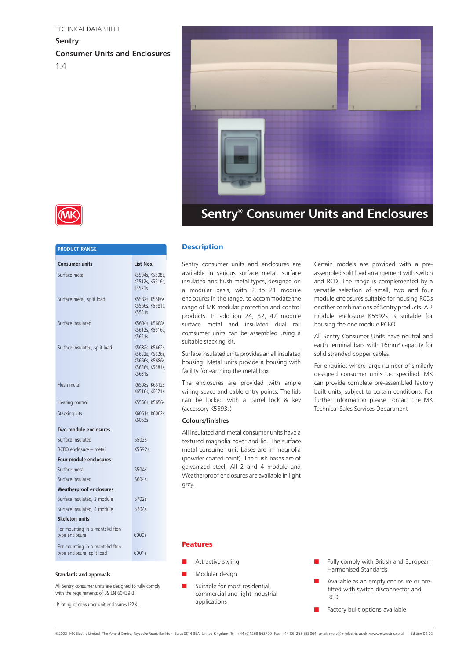**Sentry Consumer Units and Enclosures**  $1:4$ 





## **PRODUCT RANGE Consumer units List Nos.** Surface metal K5504s, K5508s, K5512s, K5516s, K5521s Surface metal, split load K5582s, K5586s, K5566s, K5581s, K5531s Surface insulated K5604s, K5608s, K5612s, K5616s, K5621s Surface insulated, split load K5682s, K5662s, K5632s, K5626s, K5666s, K5686s, K5636s, K5681s, K5631s Flush metal K6508s, K6512s, K6516s, K6521s Heating control K5556s, K5656s Stacking kits K6061s, K6062s, K6063s **Two module enclosures** Surface insulated 5502s RCBO enclosure – metal K5592s **Four module enclosures** Surface metal 5504s Surface insulated 5604s **Weatherproof enclosures** Surface insulated, 2 module 5702s Surface insulated, 4 module 5704s **Skeleton units** For mounting in a mantel/clifton type enclosure 6000s For mounting in a mantel/clifton type enclosure, split load 6001s

#### **Standards and approvals**

All Sentry consumer units are designed to fully comply with the requirements of BS EN 60439-3.

IP rating of consumer unit enclosures IP2X.

### **Description**

Sentry consumer units and enclosures are available in various surface metal, surface insulated and flush metal types, designed on a modular basis, with 2 to 21 module enclosures in the range, to accommodate the range of MK modular protection and control products. In addition 24, 32, 42 module surface metal and insulated dual rail comsumer units can be assembled using a suitable stacking kit.

Surface insulated units provides an all insulated housing. Metal units provide a housing with facility for earthing the metal box.

The enclosures are provided with ample wiring space and cable entry points. The lids can be locked with a barrel lock & key (accessory K5593s)

#### **Colours/finishes**

All insulated and metal consumer units have a textured magnolia cover and lid. The surface metal consumer unit bases are in magnolia (powder coated paint). The flush bases are of galvanized steel. All 2 and 4 module and Weatherproof enclosures are available in light grey.

Certain models are provided with a preassembled split load arrangement with switch and RCD. The range is complemented by a versatile selection of small, two and four module enclosures suitable for housing RCDs or other combinations of Sentry products. A 2 module enclosure K5592s is suitable for housing the one module RCBO.

All Sentry Consumer Units have neutral and earth terminal bars with 16mm<sup>2</sup> capacity for solid stranded copper cables.

For enquiries where large number of similarly designed consumer units i.e. specified. MK can provide complete pre-assembled factory built units, subject to certain conditions. For further information please contact the MK Technical Sales Services Department

### Features

- Attractive styling
- Modular design
- Suitable for most residential, commercial and light industrial applications
- Fully comply with British and European Harmonised Standards
- Available as an empty enclosure or prefitted with switch disconnector and RCD
- Factory built options available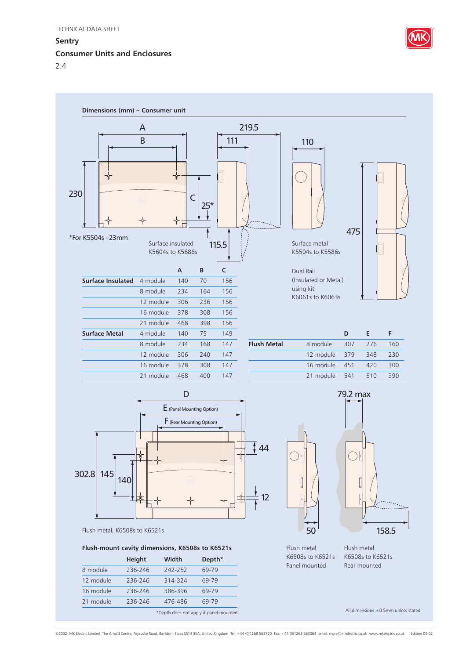# **Sentry**

# **Consumer Units and Enclosures**









# **Flush-mount cavity dimensions, K6508s to K6521s**

|           | <b>Height</b> | Width                                  | Depth <sup>*</sup> |  |
|-----------|---------------|----------------------------------------|--------------------|--|
| 8 module  | 236-246       | 242-252                                | 69-79              |  |
| 12 module | 236-246       | 314-324                                | 69-79              |  |
| 16 module | 236-246       | 386-396                                | 69-79              |  |
| 21 module | 236-246       | 476-486                                | 69-79              |  |
|           |               | *Depth does not apply if panel-mounted |                    |  |



158.5 Flush metal K6508s to K6521s

Flush metal K6508s to K6521s Panel mounted Rear mounted

All dimensions ±0.5mm unless stated

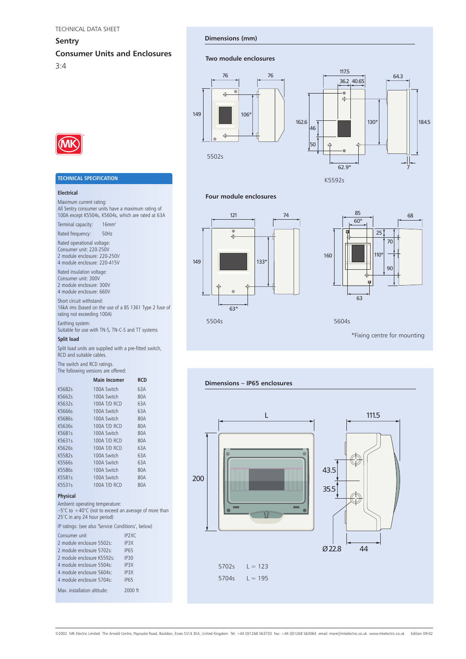### **Sentry**

# **Consumer Units and Enclosures**

3:4

#### **Dimensions (mm)**

#### **Two module enclosures**





#### **Four module enclosures**





5604s

\*Fixing centre for mounting



# **TECHNICAL SPECIFICATION**

#### **Electrical**

Maximum current rating:

All Sentry consumer units have a maximum rating of 100A except K5504s, K5604s, which are rated at 63A

Terminal capacity: 16mm<sup>2</sup>

Rated frequency: 50Hz

Rated operational voltage: Consumer unit: 220-250V 2 module enclosure: 220-250V

4 module enclosure: 220-415V Rated insulation voltage: Consumer unit: 300V 2 module enclosure: 300V

4 module enclosure: 660V Short circuit withstand:

16kA rms (based on the use of a BS 1361 Type 2 fuse of rating not exceeding 100A)

Earthing system:

Suitable for use with TN-S, TN-C-S and TT systems

### **Split load**

Split load units are supplied with a pre-fitted switch, RCD and suitable cables.

The switch and RCD ratings. The following versions are offered:

|        |  | <b>Main Incomer</b> | <b>RCD</b> |  |
|--------|--|---------------------|------------|--|
| K5682s |  | 100A Switch         | 63A        |  |
| K5662s |  | 100A Switch         | 80A        |  |
| K5632s |  | 100A T/D RCD        | 63A        |  |
| K5666s |  | 100A Switch         | 63A        |  |
| K5686s |  | 100A Switch         | 80A        |  |
| K5636s |  | 100A T/D RCD        | 80A        |  |
| K5681s |  | 100A Switch         | 80A        |  |
| K5631s |  | 100A T/D RCD        | 80A        |  |
| K5626s |  | 100A T/D RCD        | 63A        |  |
| K5582s |  | 100A Switch         | 63A        |  |
| K5566s |  | 100A Switch         | 63A        |  |
| K5586s |  | 100A Switch         | 80A        |  |
| K5581s |  | 100A Switch         | 80A        |  |
| K5531s |  | 100A T/D RCD        | 80A        |  |
|        |  |                     |            |  |

#### **Physical**

Ambient operating temperature:

 $-5^{\circ}$ C to  $+40^{\circ}$ C (not to exceed an average of more than 25°C in any 24 hour period)

IP ratings: (see also 'Service Conditions', below)

| Consumer unit               | IP <sub>2</sub> XC |
|-----------------------------|--------------------|
| 2 module enclosure 5502s:   | IP3X               |
| 2 module enclosure 5702s:   | <b>IP65</b>        |
| 2 module enclosure K5592s:  | IP30               |
| 4 module enclosure 5504s:   | IP3X               |
| 4 module enclosure 5604s:   | IP3X               |
| 4 module enclosure 5704s:   | <b>IP65</b>        |
| Max. installation altitude: | 2000 ft            |

œ

**Dimensions – IP65 enclosures**

200



©2002 MK Electric Limited The Arnold Centre, Paycocke Road, Basildon, Essex SS14 3EA, United Kingdom Tel: +44 (0)1268 563720 Fax: +44 (0)1268 563064 email: more@mkelectric.co.uk www.mkelectric.co.uk Edition 09-02

5702s  $L = 123$ 5704s  $L = 195$